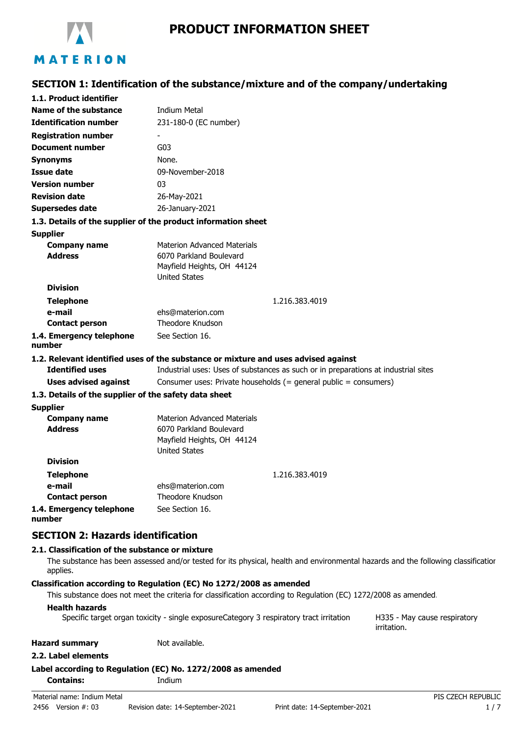

# **SECTION 1: Identification of the substance/mixture and of the company/undertaking**

| 1.1. Product identifier                                       |                                                                                                                                   |                                             |
|---------------------------------------------------------------|-----------------------------------------------------------------------------------------------------------------------------------|---------------------------------------------|
| Name of the substance                                         | <b>Indium Metal</b>                                                                                                               |                                             |
| <b>Identification number</b>                                  | 231-180-0 (EC number)                                                                                                             |                                             |
| <b>Registration number</b>                                    |                                                                                                                                   |                                             |
| <b>Document number</b>                                        | G03                                                                                                                               |                                             |
| <b>Synonyms</b>                                               | None.                                                                                                                             |                                             |
| <b>Issue date</b>                                             | 09-November-2018                                                                                                                  |                                             |
| <b>Version number</b>                                         | 03                                                                                                                                |                                             |
| <b>Revision date</b>                                          | 26-May-2021                                                                                                                       |                                             |
| <b>Supersedes date</b>                                        | 26-January-2021                                                                                                                   |                                             |
| 1.3. Details of the supplier of the product information sheet |                                                                                                                                   |                                             |
| <b>Supplier</b>                                               |                                                                                                                                   |                                             |
| <b>Company name</b>                                           | <b>Materion Advanced Materials</b>                                                                                                |                                             |
| <b>Address</b>                                                | 6070 Parkland Boulevard<br>Mayfield Heights, OH 44124                                                                             |                                             |
|                                                               | <b>United States</b>                                                                                                              |                                             |
| <b>Division</b>                                               |                                                                                                                                   |                                             |
| <b>Telephone</b>                                              | 1.216.383.4019                                                                                                                    |                                             |
| e-mail                                                        | ehs@materion.com                                                                                                                  |                                             |
| <b>Contact person</b>                                         | Theodore Knudson                                                                                                                  |                                             |
| 1.4. Emergency telephone                                      | See Section 16.                                                                                                                   |                                             |
| number                                                        |                                                                                                                                   |                                             |
|                                                               | 1.2. Relevant identified uses of the substance or mixture and uses advised against                                                |                                             |
| <b>Identified uses</b>                                        | Industrial uses: Uses of substances as such or in preparations at industrial sites                                                |                                             |
| <b>Uses advised against</b>                                   | Consumer uses: Private households (= general public = consumers)                                                                  |                                             |
| 1.3. Details of the supplier of the safety data sheet         |                                                                                                                                   |                                             |
| <b>Supplier</b><br><b>Company name</b>                        | <b>Materion Advanced Materials</b>                                                                                                |                                             |
| <b>Address</b>                                                | 6070 Parkland Boulevard                                                                                                           |                                             |
|                                                               | Mayfield Heights, OH 44124                                                                                                        |                                             |
|                                                               | <b>United States</b>                                                                                                              |                                             |
| <b>Division</b>                                               |                                                                                                                                   |                                             |
| <b>Telephone</b>                                              | 1.216.383.4019                                                                                                                    |                                             |
| e-mail                                                        | ehs@materion.com                                                                                                                  |                                             |
| <b>Contact person</b>                                         | Theodore Knudson<br>See Section 16.                                                                                               |                                             |
| 1.4. Emergency telephone<br>number                            |                                                                                                                                   |                                             |
|                                                               |                                                                                                                                   |                                             |
| <b>SECTION 2: Hazards identification</b>                      |                                                                                                                                   |                                             |
| 2.1. Classification of the substance or mixture               |                                                                                                                                   |                                             |
| applies.                                                      | The substance has been assessed and/or tested for its physical, health and environmental hazards and the following classificatior |                                             |
|                                                               | Classification according to Regulation (EC) No 1272/2008 as amended                                                               |                                             |
|                                                               | This substance does not meet the criteria for classification according to Regulation (EC) 1272/2008 as amended.                   |                                             |
| <b>Health hazards</b>                                         | Specific target organ toxicity - single exposureCategory 3 respiratory tract irritation                                           | H335 - May cause respiratory<br>irritation. |
| <b>Hazard summary</b>                                         | Not available.                                                                                                                    |                                             |
| 2.2. Label elements                                           |                                                                                                                                   |                                             |
|                                                               | Label according to Regulation (EC) No. 1272/2008 as amended                                                                       |                                             |
| <b>Contains:</b>                                              | Indium                                                                                                                            |                                             |
| Material name: Indium Metal                                   |                                                                                                                                   | PIS CZECH REPUBLIC                          |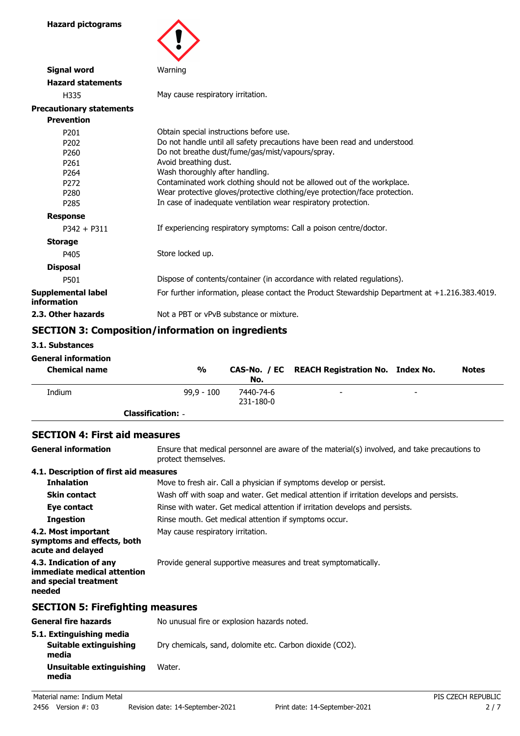**Hazard pictograms**



| <b>Signal word</b>                       | Warning                                                                                        |
|------------------------------------------|------------------------------------------------------------------------------------------------|
| <b>Hazard statements</b>                 |                                                                                                |
| H335                                     | May cause respiratory irritation.                                                              |
| <b>Precautionary statements</b>          |                                                                                                |
| <b>Prevention</b>                        |                                                                                                |
| P <sub>201</sub>                         | Obtain special instructions before use.                                                        |
| P <sub>202</sub>                         | Do not handle until all safety precautions have been read and understood.                      |
| P <sub>260</sub>                         | Do not breathe dust/fume/gas/mist/vapours/spray.                                               |
| P <sub>261</sub>                         | Avoid breathing dust.                                                                          |
| P <sub>264</sub>                         | Wash thoroughly after handling.                                                                |
| P <sub>272</sub>                         | Contaminated work clothing should not be allowed out of the workplace.                         |
| P <sub>280</sub>                         | Wear protective gloves/protective clothing/eye protection/face protection.                     |
| P <sub>285</sub>                         | In case of inadequate ventilation wear respiratory protection.                                 |
| <b>Response</b>                          |                                                                                                |
| $P342 + P311$                            | If experiencing respiratory symptoms: Call a poison centre/doctor.                             |
| <b>Storage</b>                           |                                                                                                |
| P405                                     | Store locked up.                                                                               |
| <b>Disposal</b>                          |                                                                                                |
| P501                                     | Dispose of contents/container (in accordance with related regulations).                        |
| <b>Supplemental label</b><br>information | For further information, please contact the Product Stewardship Department at +1.216.383.4019. |
| 2.3. Other hazards                       | Not a PBT or vPvB substance or mixture.                                                        |

# **SECTION 3: Composition/information on ingredients**

**3.1. Substances**

### **General information**

| <b>Chemical name</b> | %                        | No.                    | CAS-No. / EC REACH Registration No. Index No. |                          | <b>Notes</b> |
|----------------------|--------------------------|------------------------|-----------------------------------------------|--------------------------|--------------|
| Indium               | $99.9 - 100$             | 7440-74-6<br>231-180-0 | -                                             | $\overline{\phantom{0}}$ |              |
|                      | <b>Classification: -</b> |                        |                                               |                          |              |

#### **SECTION 4: First aid measures**

| <b>General information</b>                                                               | Ensure that medical personnel are aware of the material(s) involved, and take precautions to<br>protect themselves. |  |  |
|------------------------------------------------------------------------------------------|---------------------------------------------------------------------------------------------------------------------|--|--|
| 4.1. Description of first aid measures                                                   |                                                                                                                     |  |  |
| <b>Inhalation</b>                                                                        | Move to fresh air. Call a physician if symptoms develop or persist.                                                 |  |  |
| <b>Skin contact</b>                                                                      | Wash off with soap and water. Get medical attention if irritation develops and persists.                            |  |  |
| Eye contact                                                                              | Rinse with water. Get medical attention if irritation develops and persists.                                        |  |  |
| <b>Ingestion</b>                                                                         | Rinse mouth. Get medical attention if symptoms occur.                                                               |  |  |
| 4.2. Most important<br>symptoms and effects, both<br>acute and delayed                   | May cause respiratory irritation.                                                                                   |  |  |
| 4.3. Indication of any<br>immediate medical attention<br>and special treatment<br>needed | Provide general supportive measures and treat symptomatically.                                                      |  |  |
| <b>SECTION 5: Firefighting measures</b>                                                  |                                                                                                                     |  |  |
| <b>General fire hazards</b>                                                              | No unusual fire or explosion hazards noted.                                                                         |  |  |
| 5.1. Extinguishing media<br>Suitable extinguishing<br>media                              | Dry chemicals, sand, dolomite etc. Carbon dioxide (CO2).                                                            |  |  |
| Unsuitable extinguishing<br>media                                                        | Water.                                                                                                              |  |  |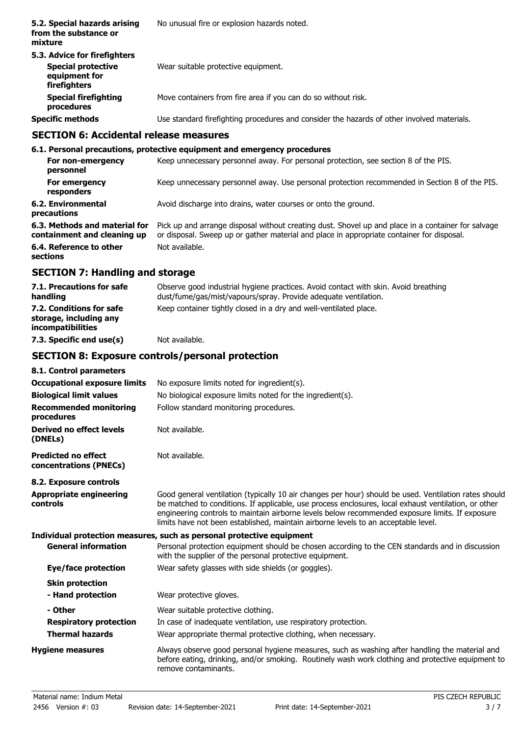| 5.2. Special hazards arising<br>from the substance or<br>mixture                                  | No unusual fire or explosion hazards noted.                                                |
|---------------------------------------------------------------------------------------------------|--------------------------------------------------------------------------------------------|
| 5.3. Advice for firefighters<br><b>Special protective</b><br>equipment for<br><b>firefighters</b> | Wear suitable protective equipment.                                                        |
| <b>Special firefighting</b><br>procedures                                                         | Move containers from fire area if you can do so without risk.                              |
| <b>Specific methods</b>                                                                           | Use standard firefighting procedures and consider the hazards of other involved materials. |
| CECTION 6: Accidental release measures                                                            |                                                                                            |

### **SECTION 6: Accidental release measures**

#### **6.1. Personal precautions, protective equipment and emergency procedures For non-emergency** Keep unnecessary personnel away. For personal protection, see section 8 of the PIS. **personnel** For emergency **Keep unnecessary personnel away. Use personal protection recommended in Section 8 of the PIS. responders 6.2. Environmental** Avoid discharge into drains, water courses or onto the ground. **precautions** Pick up and arrange disposal without creating dust. Shovel up and place in a container for salvage or disposal. Sweep up or gather material and place in appropriate container for disposal. **6.3. Methods and material for containment and cleaning up 6.4. Reference to other** Not available. **sections**

# **SECTION 7: Handling and storage**

| 7.1. Precautions for safe<br>handling                                   | Observe good industrial hygiene practices. Avoid contact with skin. Avoid breathing<br>dust/fume/gas/mist/vapours/spray. Provide adequate ventilation. |
|-------------------------------------------------------------------------|--------------------------------------------------------------------------------------------------------------------------------------------------------|
| 7.2. Conditions for safe<br>storage, including any<br>incompatibilities | Keep container tightly closed in a dry and well-ventilated place.                                                                                      |
| 7.3. Specific end use(s)                                                | Not available.                                                                                                                                         |

# **SECTION 8: Exposure controls/personal protection**

| 8.1. Control parameters<br><b>Occupational exposure limits</b><br><b>Biological limit values</b><br><b>Recommended monitoring</b><br>procedures | No exposure limits noted for ingredient(s).<br>No biological exposure limits noted for the ingredient(s).<br>Follow standard monitoring procedures.                                                                                                                                                                                                                                                    |
|-------------------------------------------------------------------------------------------------------------------------------------------------|--------------------------------------------------------------------------------------------------------------------------------------------------------------------------------------------------------------------------------------------------------------------------------------------------------------------------------------------------------------------------------------------------------|
| Derived no effect levels<br>(DNELs)                                                                                                             | Not available.                                                                                                                                                                                                                                                                                                                                                                                         |
| <b>Predicted no effect</b><br>concentrations (PNECs)                                                                                            | Not available.                                                                                                                                                                                                                                                                                                                                                                                         |
| 8.2. Exposure controls<br><b>Appropriate engineering</b><br>controls                                                                            | Good general ventilation (typically 10 air changes per hour) should be used. Ventilation rates should<br>be matched to conditions. If applicable, use process enclosures, local exhaust ventilation, or other<br>engineering controls to maintain airborne levels below recommended exposure limits. If exposure<br>limits have not been established, maintain airborne levels to an acceptable level. |
| <b>General information</b>                                                                                                                      | Individual protection measures, such as personal protective equipment<br>Personal protection equipment should be chosen according to the CEN standards and in discussion                                                                                                                                                                                                                               |
|                                                                                                                                                 | with the supplier of the personal protective equipment.                                                                                                                                                                                                                                                                                                                                                |
| Eye/face protection<br><b>Skin protection</b><br>- Hand protection                                                                              | Wear safety glasses with side shields (or goggles).<br>Wear protective gloves.                                                                                                                                                                                                                                                                                                                         |
| - Other<br><b>Respiratory protection</b><br><b>Thermal hazards</b>                                                                              | Wear suitable protective clothing.<br>In case of inadequate ventilation, use respiratory protection.<br>Wear appropriate thermal protective clothing, when necessary.                                                                                                                                                                                                                                  |
| <b>Hygiene measures</b>                                                                                                                         | Always observe good personal hygiene measures, such as washing after handling the material and<br>before eating, drinking, and/or smoking. Routinely wash work clothing and protective equipment to<br>remove contaminants.                                                                                                                                                                            |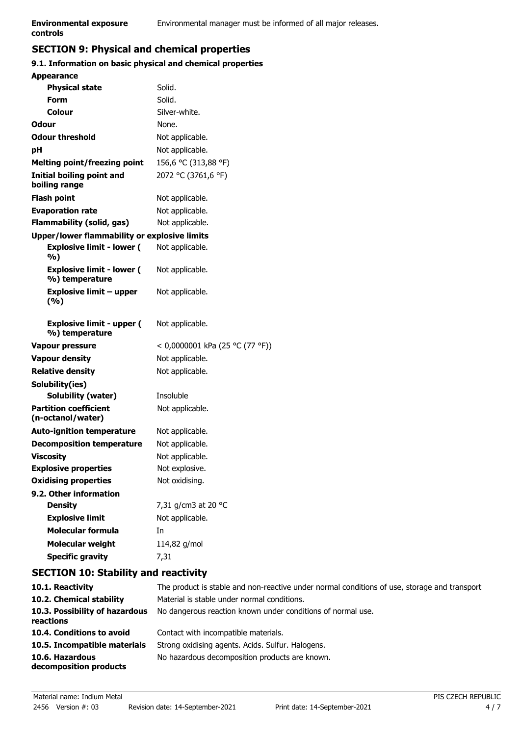# **SECTION 9: Physical and chemical properties**

### **9.1. Information on basic physical and chemical properties**

| <b>Appearance</b>                                  |                                 |
|----------------------------------------------------|---------------------------------|
| <b>Physical state</b>                              | Solid.                          |
| Form                                               | Solid.                          |
| Colour                                             | Silver-white.                   |
| Odour                                              | None.                           |
| <b>Odour threshold</b>                             | Not applicable.                 |
| рH                                                 | Not applicable.                 |
| <b>Melting point/freezing point</b>                | 156,6 °C (313,88 °F)            |
| <b>Initial boiling point and</b><br>boiling range  | 2072 °C (3761,6 °F)             |
| <b>Flash point</b>                                 | Not applicable.                 |
| <b>Evaporation rate</b>                            | Not applicable.                 |
| Flammability (solid, gas)                          | Not applicable.                 |
| Upper/lower flammability or explosive limits       |                                 |
| <b>Explosive limit - lower (</b><br>%)             | Not applicable.                 |
| <b>Explosive limit - lower (</b><br>%) temperature | Not applicable.                 |
| <b>Explosive limit - upper</b><br>(%)              | Not applicable.                 |
| <b>Explosive limit - upper (</b><br>%) temperature | Not applicable.                 |
| <b>Vapour pressure</b>                             | < 0,0000001 kPa (25 °C (77 °F)) |
| <b>Vapour density</b>                              | Not applicable.                 |
| <b>Relative density</b>                            | Not applicable.                 |
| Solubility(ies)                                    |                                 |
| Solubility (water)                                 | Insoluble                       |
| <b>Partition coefficient</b><br>(n-octanol/water)  | Not applicable.                 |
| <b>Auto-ignition temperature</b>                   | Not applicable.                 |
| <b>Decomposition temperature</b>                   | Not applicable.                 |
| <b>Viscosity</b>                                   | Not applicable.                 |
| <b>Explosive properties</b>                        | Not explosive.                  |
| <b>Oxidising properties</b>                        | Not oxidising.                  |
| 9.2. Other information                             |                                 |
| <b>Density</b>                                     | 7,31 g/cm3 at 20 °C             |
| <b>Explosive limit</b>                             | Not applicable.                 |
| <b>Molecular formula</b>                           | In                              |
| <b>Molecular weight</b>                            | 114,82 g/mol                    |
| <b>Specific gravity</b>                            | 7,31                            |

# **SECTION 10: Stability and reactivity**

| 10.1. Reactivity                            | The product is stable and non-reactive under normal conditions of use, storage and transport. |
|---------------------------------------------|-----------------------------------------------------------------------------------------------|
| 10.2. Chemical stability                    | Material is stable under normal conditions.                                                   |
| 10.3. Possibility of hazardous<br>reactions | No dangerous reaction known under conditions of normal use.                                   |
| 10.4. Conditions to avoid                   | Contact with incompatible materials.                                                          |
| 10.5. Incompatible materials                | Strong oxidising agents. Acids. Sulfur. Halogens.                                             |
| 10.6. Hazardous<br>decomposition products   | No hazardous decomposition products are known.                                                |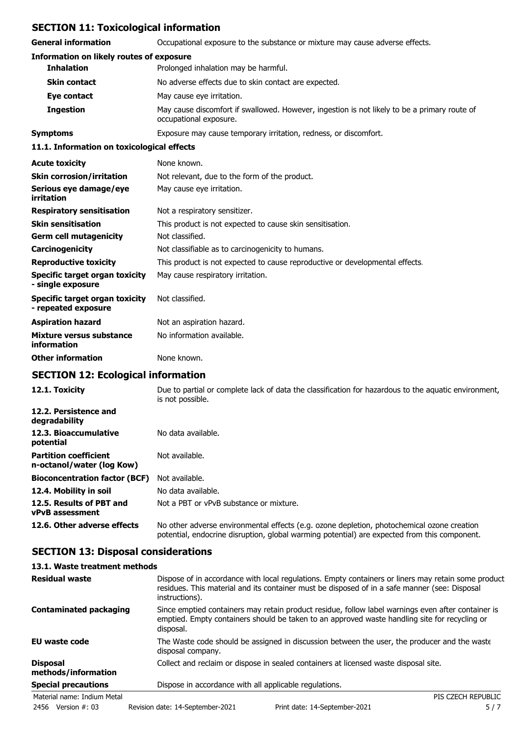# **SECTION 11: Toxicological information**

**General information** Occupational exposure to the substance or mixture may cause adverse effects.

| general miloliniation                                 | Occupational exposure to the substance of infixture may cause auverse effects.                                         |
|-------------------------------------------------------|------------------------------------------------------------------------------------------------------------------------|
| <b>Information on likely routes of exposure</b>       |                                                                                                                        |
| <b>Inhalation</b>                                     | Prolonged inhalation may be harmful.                                                                                   |
| <b>Skin contact</b>                                   | No adverse effects due to skin contact are expected.                                                                   |
| Eye contact                                           | May cause eye irritation.                                                                                              |
| <b>Ingestion</b>                                      | May cause discomfort if swallowed. However, ingestion is not likely to be a primary route of<br>occupational exposure. |
| <b>Symptoms</b>                                       | Exposure may cause temporary irritation, redness, or discomfort.                                                       |
| 11.1. Information on toxicological effects            |                                                                                                                        |
| <b>Acute toxicity</b>                                 | None known.                                                                                                            |
| <b>Skin corrosion/irritation</b>                      | Not relevant, due to the form of the product.                                                                          |
| Serious eye damage/eye<br>irritation                  | May cause eye irritation.                                                                                              |
| <b>Respiratory sensitisation</b>                      | Not a respiratory sensitizer.                                                                                          |
| <b>Skin sensitisation</b>                             | This product is not expected to cause skin sensitisation.                                                              |
| <b>Germ cell mutagenicity</b>                         | Not classified.                                                                                                        |
| Carcinogenicity                                       | Not classifiable as to carcinogenicity to humans.                                                                      |
| <b>Reproductive toxicity</b>                          | This product is not expected to cause reproductive or developmental effects.                                           |
| Specific target organ toxicity<br>- single exposure   | May cause respiratory irritation.                                                                                      |
| Specific target organ toxicity<br>- repeated exposure | Not classified.                                                                                                        |
| <b>Aspiration hazard</b>                              | Not an aspiration hazard.                                                                                              |
| Mixture versus substance<br>information               | No information available.                                                                                              |
| <b>Other information</b>                              | None known.                                                                                                            |

# **SECTION 12: Ecological information**

| 12.1. Toxicity                                            | Due to partial or complete lack of data the classification for hazardous to the aguatic environment,<br>is not possible.                                                                   |
|-----------------------------------------------------------|--------------------------------------------------------------------------------------------------------------------------------------------------------------------------------------------|
| 12.2. Persistence and<br>degradability                    |                                                                                                                                                                                            |
| 12.3. Bioaccumulative<br>potential                        | No data available.                                                                                                                                                                         |
| <b>Partition coefficient</b><br>n-octanol/water (log Kow) | Not available.                                                                                                                                                                             |
| <b>Bioconcentration factor (BCF)</b>                      | Not available.                                                                                                                                                                             |
| 12.4. Mobility in soil                                    | No data available.                                                                                                                                                                         |
| 12.5. Results of PBT and<br><b>vPvB</b> assessment        | Not a PBT or vPvB substance or mixture.                                                                                                                                                    |
| 12.6. Other adverse effects                               | No other adverse environmental effects (e.g. ozone depletion, photochemical ozone creation<br>potential, endocrine disruption, global warming potential) are expected from this component. |

# **SECTION 13: Disposal considerations**

### **13.1. Waste treatment methods**

| <b>Residual waste</b>                  | Dispose of in accordance with local regulations. Empty containers or liners may retain some product<br>residues. This material and its container must be disposed of in a safe manner (see: Disposal<br>instructions). |
|----------------------------------------|------------------------------------------------------------------------------------------------------------------------------------------------------------------------------------------------------------------------|
| <b>Contaminated packaging</b>          | Since emptied containers may retain product residue, follow label warnings even after container is<br>emptied. Empty containers should be taken to an approved waste handling site for recycling or<br>disposal.       |
| <b>EU waste code</b>                   | The Waste code should be assigned in discussion between the user, the producer and the waste<br>disposal company.                                                                                                      |
| <b>Disposal</b><br>methods/information | Collect and reclaim or dispose in sealed containers at licensed waste disposal site.                                                                                                                                   |
| <b>Special precautions</b>             | Dispose in accordance with all applicable regulations.                                                                                                                                                                 |
| Material name: Indium Metal            | PIS CZECH REPUBLIC                                                                                                                                                                                                     |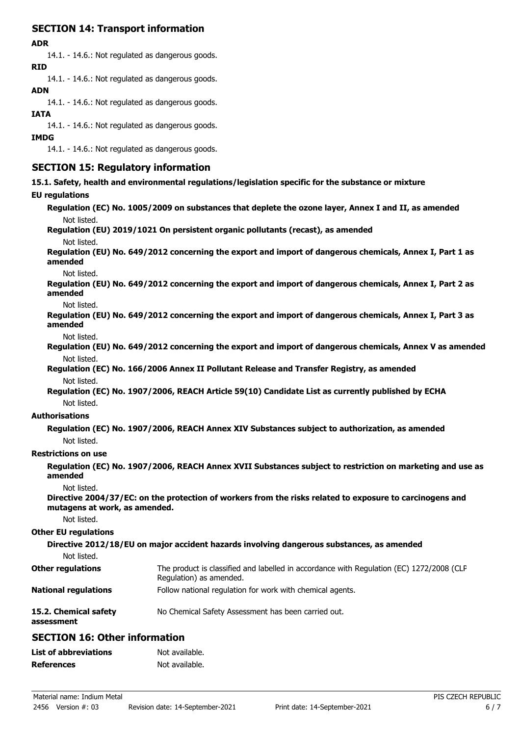# **SECTION 14: Transport information**

### **ADR**

14.1. - 14.6.: Not regulated as dangerous goods.

**RID**

14.1. - 14.6.: Not regulated as dangerous goods.

### **ADN**

14.1. - 14.6.: Not regulated as dangerous goods.

### **IATA**

14.1. - 14.6.: Not regulated as dangerous goods.

#### **IMDG**

14.1. - 14.6.: Not regulated as dangerous goods.

## **SECTION 15: Regulatory information**

**15.1. Safety, health and environmental regulations/legislation specific for the substance or mixture**

### **EU regulations**

**Regulation (EC) No. 1005/2009 on substances that deplete the ozone layer, Annex I and II, as amended** Not listed.

### **Regulation (EU) 2019/1021 On persistent organic pollutants (recast), as amended**

Not listed.

**Regulation (EU) No. 649/2012 concerning the export and import of dangerous chemicals, Annex I, Part 1 as amended**

Not listed.

**Regulation (EU) No. 649/2012 concerning the export and import of dangerous chemicals, Annex I, Part 2 as amended**

Not listed.

**Regulation (EU) No. 649/2012 concerning the export and import of dangerous chemicals, Annex I, Part 3 as amended**

Not listed.

**Regulation (EU) No. 649/2012 concerning the export and import of dangerous chemicals, Annex V as amended** Not listed.

**Regulation (EC) No. 166/2006 Annex II Pollutant Release and Transfer Registry, as amended** Not listed.

**Regulation (EC) No. 1907/2006, REACH Article 59(10) Candidate List as currently published by ECHA** Not listed.

### **Authorisations**

**Regulation (EC) No. 1907/2006, REACH Annex XIV Substances subject to authorization, as amended** Not listed.

#### **Restrictions on use**

**Regulation (EC) No. 1907/2006, REACH Annex XVII Substances subject to restriction on marketing and use as amended**

Not listed.

**Directive 2004/37/EC: on the protection of workers from the risks related to exposure to carcinogens and mutagens at work, as amended.**

Not listed.

#### **Other EU regulations**

**assessment**

**Directive 2012/18/EU on major accident hazards involving dangerous substances, as amended** Not listed. The product is classified and labelled in accordance with Regulation (EC) 1272/2008 (CLP Regulation) as amended. **Other regulations National regulations** Follow national regulation for work with chemical agents. **15.2. Chemical safety** No Chemical Safety Assessment has been carried out.

# **SECTION 16: Other information**

| <b>List of abbreviations</b> | Not available. |
|------------------------------|----------------|
| <b>References</b>            | Not available. |